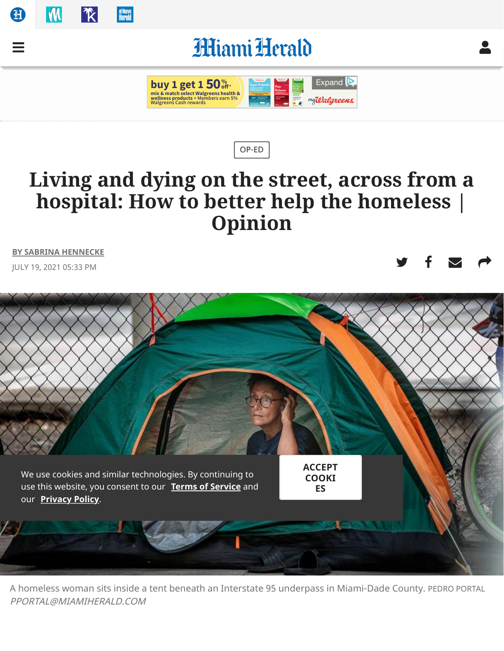# **MiamiHerald**





## **Living and dying on [the s](https://www.miamiherald.com/opinion/op-ed)treet, across from a hospital: How to better help the homeless | Opinion**

**BY SABRINA HENNECKE**

个人

**M** 

Œ

=

el Nuevo<br>Herald

JULY 19, 2021 05:33 PM  $\blacksquare$ 



A homele[ss woman sits inside](https://www.miamiherald.com/terms-of-service) a tent ben[eath an Interstate](https://www.miamiherald.com/privacy-policy) 95 underpass in Miami-Dade County. PEDRO PORTAL PPORTAL@MIAMIHERALD.COM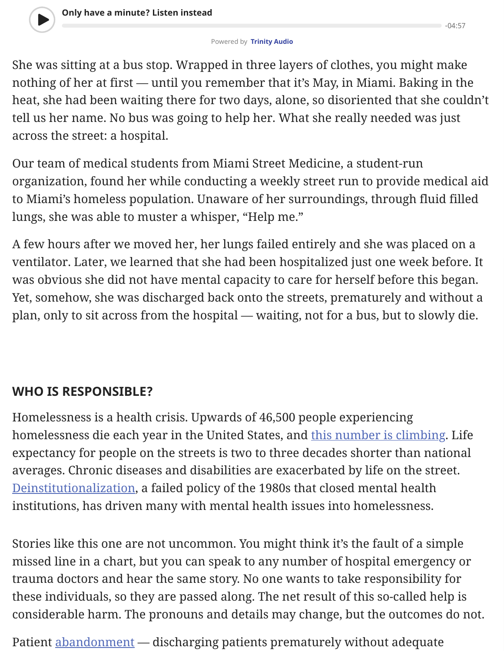

#### Powered by **Trinity Audio**

She was sitting at a bus stop. Wrapped in three layers of clothes, you might make nothing of her at first — until you remember that it's May, in Miami. Baking in the heat, she had been waiting there for two days, alone, so disoriented that she couldn't tell us her name. No bus was going to help her. What she really needed was just across the street: a hospital.

Our team of medical students from Miami Street Medicine, a student-run organization, found her while conducting a weekly street run to provide medical aid to Miami's homeless population. Unaware of her surroundings, through fluid filled lungs, she was able to muster a whisper, "Help me."

A few hours after we moved her, her lungs failed entirely and she was placed on a ventilator. Later, we learned that she had been hospitalized just one week before. It was obvious she did not have mental capacity to care for herself before this began. Yet, somehow, she was discharged back onto the streets, prematurely and without a plan, only to sit across from the hospital — waiting, not for a bus, but to slowly die.

### **WHO IS RESPONSIBLE?**

Homelessness is a health crisis. Upwards of 46,500 people experiencing homelessness die each year in the United States, and this number is climbing. Life expectancy for people on the streets is two to three decades shorter than national averages. Chronic diseases and disabilities are exacerbated by life on the street. Deinstitutionalization, a failed policy of the 1980s that closed mental health institutions, has driven many with mental health issues into homelessness.

Stories like this one are not uncommon. You might think it's the fault of a simple missed line in a chart, but you can speak to any number of hospital emergency or trauma doctors and hear the same story. No one wants to take responsibility for these individuals, so they are passed along. The net result of this so-called help is considerable harm. The pronouns and details may change, but the outcomes do not.

Patient abandonment — discharging patients prematurely without adequate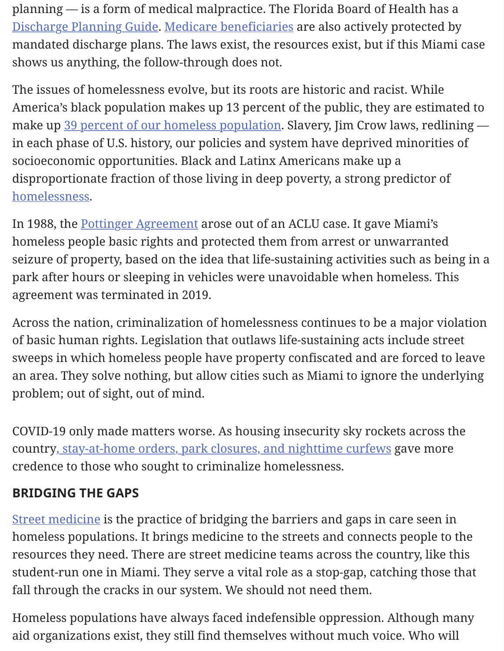planning — is a form of medical malpractice. The Florida Board of Health has a Discharge Planning Guide. Medicare beneficiaries are also actively protected by mandated discharge plans. The laws exist, the resources exist, but if this Miami case [shows us anything, the follow-](https://nhchc.org/wp-content/uploads/2020/12/Section-1-Toolkit.pdf)through does not.

The issues of homelessness evolve, but its roots are historic and racist. While America's black population makes up 13 percent of the public, they are estimated to [make up 39 percent of our h](https://www.healthaffairs.org/doi/10.1377/hlthaff.8.4.184)omeless population. Slavery, Jim Crow laws, redlining in each phase of U.S. history, our policies and system have deprived minorities of socioeconomic opportunities. Black and Latinx Americans make up a disproportionate fraction of those living in deep poverty, a strong predictor of homelessness.

In 1988, the Pottinger Agreement arose out of an ACLU case. It gave Miami's homeless people basic rights and protected them from arrest or unwarranted seizure of property, based on the idea that life-sustaining activities such as being in a park after hours or sleeping in vehicles were unavoidable when homeless. This agreement was terminated in 2019.

Across the nation, criminalization of homelessness continues to be a major violation of basic human rights. Legislation that outlaws life-sustaining acts include street sweeps in which homeless people have property confiscated and are forced to leave an area. They solve nothing, but allow cities such as Miami to ignore the underlying problem; out of sight, out of mind.

COVID-19 only made matters worse. As housing insecurity sky rockets across the country, [stay-at-home order](https://flboardofmedicine.gov/help-center/can-a-health-care-practitioner-terminate-a-patient-relationship/#:~:text=Yes.,prevailing%20professional%20standard%20of%20care.)s, park closures, and nighttime curfews gave more credence to those who sought to criminalize homelessness.

## **BRIDGING THE GAPS**

[Street medicine is the practice of bridging the barriers and gaps in care se](https://medicareadvocacy.org/medicare-info/discharge-planning/)en in homeless populations. It brings medicine to the streets and connects people to the resources they need. There are street medicine teams across the country, like this student-run one in Miami. They serve a vital role as a stop-gap, catching those that fall through the cracks in our system. We should not need them.

Homeless populations have always faced indefensible oppression. Although many [aid organizations exist, they still find themselves without much voice. Who will](https://endhomelessness.org/homelessness-in-america/what-causes-homelessness/inequality/)